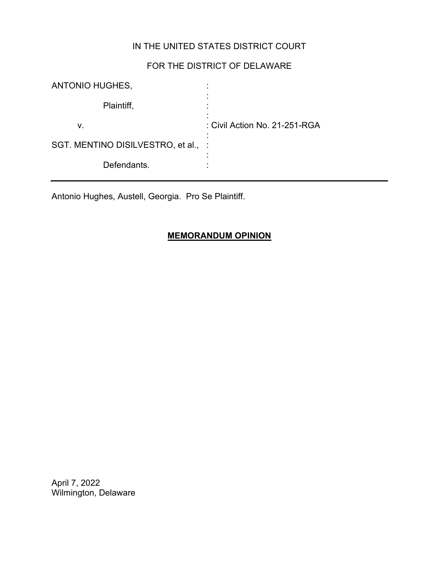## IN THE UNITED STATES DISTRICT COURT

# FOR THE DISTRICT OF DELAWARE

| ANTONIO HUGHES,                   |                               |
|-----------------------------------|-------------------------------|
| Plaintiff,                        |                               |
| v.                                | : Civil Action No. 21-251-RGA |
| SGT. MENTINO DISILVESTRO, et al., | ٠                             |
| Defendants.                       |                               |

Antonio Hughes, Austell, Georgia. Pro Se Plaintiff.

## **MEMORANDUM OPINION**

April 7, 2022 Wilmington, Delaware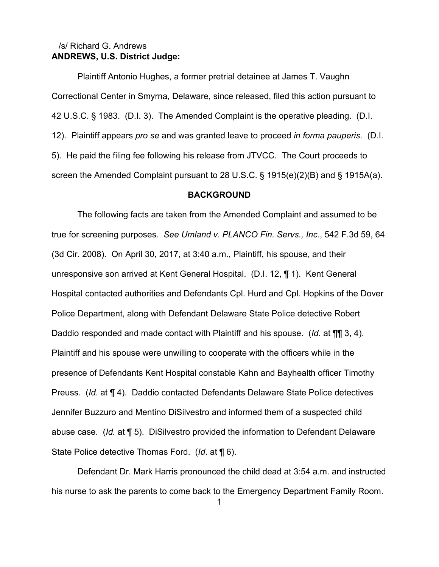## **ANDREWS, U.S. District Judge:** /s/ Richard G. Andrews

Plaintiff Antonio Hughes, a former pretrial detainee at James T. Vaughn Correctional Center in Smyrna, Delaware, since released, filed this action pursuant to 42 U.S.C. § 1983. (D.I. 3). The Amended Complaint is the operative pleading. (D.I. 12). Plaintiff appears *pro se* and was granted leave to proceed *in forma pauperis.* (D.I. 5). He paid the filing fee following his release from JTVCC. The Court proceeds to screen the Amended Complaint pursuant to 28 U.S.C. § 1915(e)(2)(B) and § 1915A(a).

#### **BACKGROUND**

The following facts are taken from the Amended Complaint and assumed to be true for screening purposes. *See Umland v. PLANCO Fin. Servs., Inc.*, 542 F.3d 59, 64 (3d Cir. 2008). On April 30, 2017, at 3:40 a.m., Plaintiff, his spouse, and their unresponsive son arrived at Kent General Hospital. (D.I. 12, ¶ 1). Kent General Hospital contacted authorities and Defendants Cpl. Hurd and Cpl. Hopkins of the Dover Police Department, along with Defendant Delaware State Police detective Robert Daddio responded and made contact with Plaintiff and his spouse. (*Id*. at ¶¶ 3, 4). Plaintiff and his spouse were unwilling to cooperate with the officers while in the presence of Defendants Kent Hospital constable Kahn and Bayhealth officer Timothy Preuss. (*Id*. at ¶ 4). Daddio contacted Defendants Delaware State Police detectives Jennifer Buzzuro and Mentino DiSilvestro and informed them of a suspected child abuse case. (*Id.* at ¶ 5). DiSilvestro provided the information to Defendant Delaware State Police detective Thomas Ford. (*Id*. at ¶ 6).

Defendant Dr. Mark Harris pronounced the child dead at 3:54 a.m. and instructed his nurse to ask the parents to come back to the Emergency Department Family Room.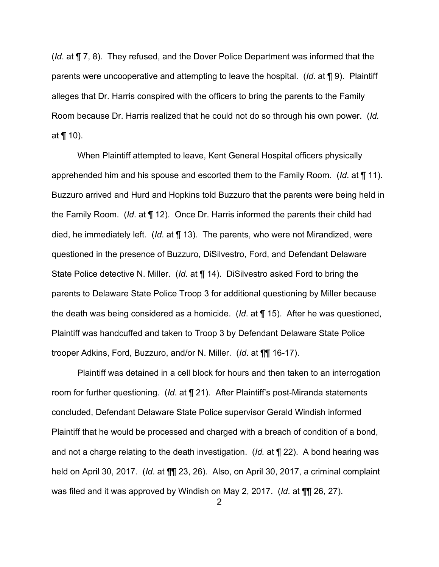(*Id*. at ¶ 7, 8). They refused, and the Dover Police Department was informed that the parents were uncooperative and attempting to leave the hospital. (*Id*. at ¶ 9). Plaintiff alleges that Dr. Harris conspired with the officers to bring the parents to the Family Room because Dr. Harris realized that he could not do so through his own power. (*Id.* at ¶ 10).

When Plaintiff attempted to leave, Kent General Hospital officers physically apprehended him and his spouse and escorted them to the Family Room. (*Id*. at ¶ 11). Buzzuro arrived and Hurd and Hopkins told Buzzuro that the parents were being held in the Family Room. (*Id*. at ¶ 12). Once Dr. Harris informed the parents their child had died, he immediately left. (*Id*. at ¶ 13). The parents, who were not Mirandized, were questioned in the presence of Buzzuro, DiSilvestro, Ford, and Defendant Delaware State Police detective N. Miller. (*Id.* at ¶ 14). DiSilvestro asked Ford to bring the parents to Delaware State Police Troop 3 for additional questioning by Miller because the death was being considered as a homicide. (*Id*. at ¶ 15). After he was questioned, Plaintiff was handcuffed and taken to Troop 3 by Defendant Delaware State Police trooper Adkins, Ford, Buzzuro, and/or N. Miller. (*Id*. at ¶¶ 16-17).

Plaintiff was detained in a cell block for hours and then taken to an interrogation room for further questioning. (*Id*. at ¶ 21). After Plaintiff's post-Miranda statements concluded, Defendant Delaware State Police supervisor Gerald Windish informed Plaintiff that he would be processed and charged with a breach of condition of a bond, and not a charge relating to the death investigation. (*Id.* at ¶ 22). A bond hearing was held on April 30, 2017. (*Id*. at ¶¶ 23, 26). Also, on April 30, 2017, a criminal complaint was filed and it was approved by Windish on May 2, 2017. (*Id*. at ¶¶ 26, 27).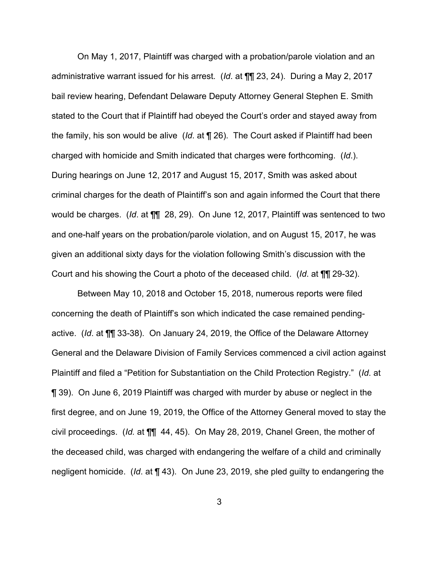On May 1, 2017, Plaintiff was charged with a probation/parole violation and an administrative warrant issued for his arrest. (*Id*. at ¶¶ 23, 24). During a May 2, 2017 bail review hearing, Defendant Delaware Deputy Attorney General Stephen E. Smith stated to the Court that if Plaintiff had obeyed the Court's order and stayed away from the family, his son would be alive (*Id*. at ¶ 26). The Court asked if Plaintiff had been charged with homicide and Smith indicated that charges were forthcoming. (*Id*.). During hearings on June 12, 2017 and August 15, 2017, Smith was asked about criminal charges for the death of Plaintiff's son and again informed the Court that there would be charges. (*Id*. at ¶¶ 28, 29). On June 12, 2017, Plaintiff was sentenced to two and one-half years on the probation/parole violation, and on August 15, 2017, he was given an additional sixty days for the violation following Smith's discussion with the Court and his showing the Court a photo of the deceased child. (*Id*. at ¶¶ 29-32).

Between May 10, 2018 and October 15, 2018, numerous reports were filed concerning the death of Plaintiff's son which indicated the case remained pendingactive. (*Id*. at ¶¶ 33-38). On January 24, 2019, the Office of the Delaware Attorney General and the Delaware Division of Family Services commenced a civil action against Plaintiff and filed a "Petition for Substantiation on the Child Protection Registry." (*Id*. at ¶ 39). On June 6, 2019 Plaintiff was charged with murder by abuse or neglect in the first degree, and on June 19, 2019, the Office of the Attorney General moved to stay the civil proceedings. (*Id.* at ¶¶ 44, 45). On May 28, 2019, Chanel Green, the mother of the deceased child, was charged with endangering the welfare of a child and criminally negligent homicide. (*Id*. at ¶ 43). On June 23, 2019, she pled guilty to endangering the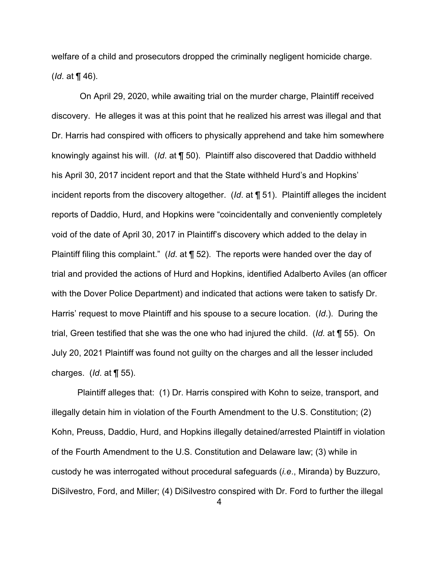welfare of a child and prosecutors dropped the criminally negligent homicide charge. (*Id*. at ¶ 46).

On April 29, 2020, while awaiting trial on the murder charge, Plaintiff received discovery. He alleges it was at this point that he realized his arrest was illegal and that Dr. Harris had conspired with officers to physically apprehend and take him somewhere knowingly against his will. (*Id*. at ¶ 50). Plaintiff also discovered that Daddio withheld his April 30, 2017 incident report and that the State withheld Hurd's and Hopkins' incident reports from the discovery altogether. (*Id*. at ¶ 51). Plaintiff alleges the incident reports of Daddio, Hurd, and Hopkins were "coincidentally and conveniently completely void of the date of April 30, 2017 in Plaintiff's discovery which added to the delay in Plaintiff filing this complaint." (*Id*. at ¶ 52). The reports were handed over the day of trial and provided the actions of Hurd and Hopkins, identified Adalberto Aviles (an officer with the Dover Police Department) and indicated that actions were taken to satisfy Dr. Harris' request to move Plaintiff and his spouse to a secure location. (*Id*.). During the trial, Green testified that she was the one who had injured the child. (*Id.* at ¶ 55). On July 20, 2021 Plaintiff was found not guilty on the charges and all the lesser included charges. (*Id*. at ¶ 55).

Plaintiff alleges that: (1) Dr. Harris conspired with Kohn to seize, transport, and illegally detain him in violation of the Fourth Amendment to the U.S. Constitution; (2) Kohn, Preuss, Daddio, Hurd, and Hopkins illegally detained/arrested Plaintiff in violation of the Fourth Amendment to the U.S. Constitution and Delaware law; (3) while in custody he was interrogated without procedural safeguards (*i.e*., Miranda) by Buzzuro, DiSilvestro, Ford, and Miller; (4) DiSilvestro conspired with Dr. Ford to further the illegal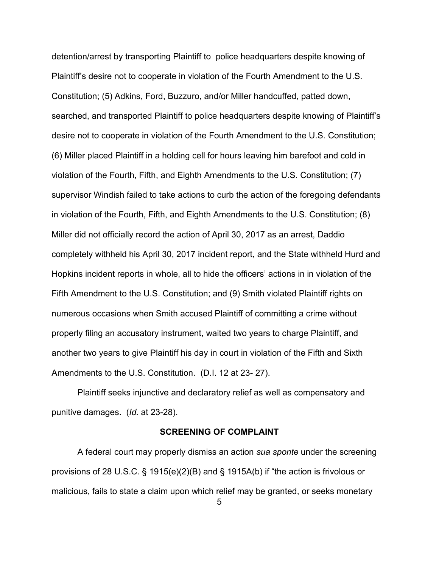detention/arrest by transporting Plaintiff to police headquarters despite knowing of Plaintiff's desire not to cooperate in violation of the Fourth Amendment to the U.S. Constitution; (5) Adkins, Ford, Buzzuro, and/or Miller handcuffed, patted down, searched, and transported Plaintiff to police headquarters despite knowing of Plaintiff's desire not to cooperate in violation of the Fourth Amendment to the U.S. Constitution; (6) Miller placed Plaintiff in a holding cell for hours leaving him barefoot and cold in violation of the Fourth, Fifth, and Eighth Amendments to the U.S. Constitution; (7) supervisor Windish failed to take actions to curb the action of the foregoing defendants in violation of the Fourth, Fifth, and Eighth Amendments to the U.S. Constitution; (8) Miller did not officially record the action of April 30, 2017 as an arrest, Daddio completely withheld his April 30, 2017 incident report, and the State withheld Hurd and Hopkins incident reports in whole, all to hide the officers' actions in in violation of the Fifth Amendment to the U.S. Constitution; and (9) Smith violated Plaintiff rights on numerous occasions when Smith accused Plaintiff of committing a crime without properly filing an accusatory instrument, waited two years to charge Plaintiff, and another two years to give Plaintiff his day in court in violation of the Fifth and Sixth Amendments to the U.S. Constitution. (D.I. 12 at 23- 27).

Plaintiff seeks injunctive and declaratory relief as well as compensatory and punitive damages. (*Id.* at 23-28).

#### **SCREENING OF COMPLAINT**

A federal court may properly dismiss an action *sua sponte* under the screening provisions of 28 U.S.C. § 1915(e)(2)(B) and § 1915A(b) if "the action is frivolous or malicious, fails to state a claim upon which relief may be granted, or seeks monetary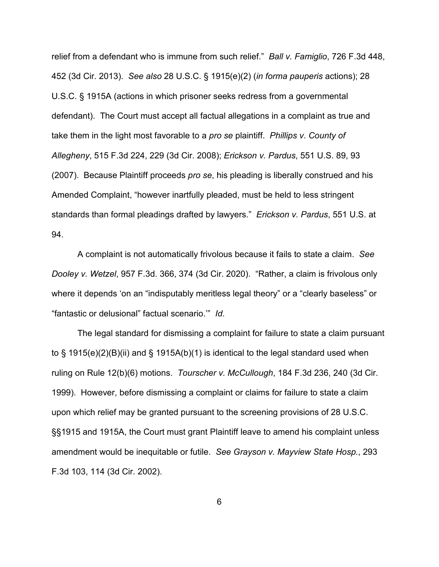relief from a defendant who is immune from such relief." *Ball v. Famiglio*, 726 F.3d 448, 452 (3d Cir. 2013). *See also* 28 U.S.C. § 1915(e)(2) (*in forma pauperis* actions); 28 U.S.C. § 1915A (actions in which prisoner seeks redress from a governmental defendant). The Court must accept all factual allegations in a complaint as true and take them in the light most favorable to a *pro se* plaintiff. *Phillips v. County of Allegheny*, 515 F.3d 224, 229 (3d Cir. 2008); *Erickson v. Pardus*, 551 U.S. 89, 93 (2007). Because Plaintiff proceeds *pro se*, his pleading is liberally construed and his Amended Complaint, "however inartfully pleaded, must be held to less stringent standards than formal pleadings drafted by lawyers." *Erickson v. Pardus*, 551 U.S. at 94.

A complaint is not automatically frivolous because it fails to state a claim. *See Dooley v. Wetzel*, 957 F.3d. 366, 374 (3d Cir. 2020). "Rather, a claim is frivolous only where it depends 'on an "indisputably meritless legal theory" or a "clearly baseless" or "fantastic or delusional" factual scenario.'" *Id*.

The legal standard for dismissing a complaint for failure to state a claim pursuant to § 1915(e)(2)(B)(ii) and § 1915A(b)(1) is identical to the legal standard used when ruling on Rule 12(b)(6) motions. *Tourscher v. McCullough*, 184 F.3d 236, 240 (3d Cir. 1999). However, before dismissing a complaint or claims for failure to state a claim upon which relief may be granted pursuant to the screening provisions of 28 U.S.C. §§1915 and 1915A, the Court must grant Plaintiff leave to amend his complaint unless amendment would be inequitable or futile. *See Grayson v. Mayview State Hosp.*, 293 F.3d 103, 114 (3d Cir. 2002).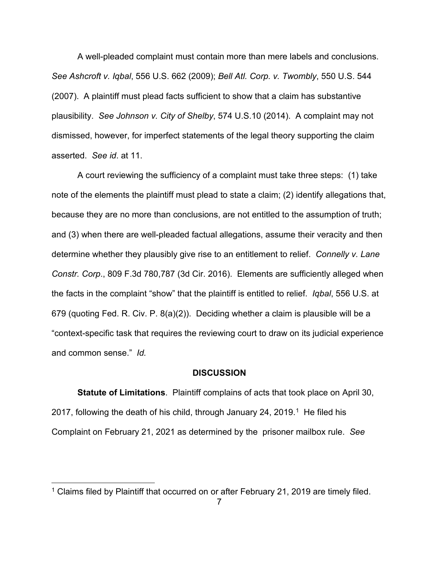A well-pleaded complaint must contain more than mere labels and conclusions. *See Ashcroft v. Iqbal*, 556 U.S. 662 (2009); *Bell Atl. Corp. v. Twombly*, 550 U.S. 544 (2007). A plaintiff must plead facts sufficient to show that a claim has substantive plausibility. *See Johnson v. City of Shelby*, 574 U.S.10 (2014). A complaint may not dismissed, however, for imperfect statements of the legal theory supporting the claim asserted. *See id*. at 11.

A court reviewing the sufficiency of a complaint must take three steps: (1) take note of the elements the plaintiff must plead to state a claim; (2) identify allegations that, because they are no more than conclusions, are not entitled to the assumption of truth; and (3) when there are well-pleaded factual allegations, assume their veracity and then determine whether they plausibly give rise to an entitlement to relief. *Connelly v. Lane Constr. Corp*., 809 F.3d 780,787 (3d Cir. 2016). Elements are sufficiently alleged when the facts in the complaint "show" that the plaintiff is entitled to relief. *Iqbal*, 556 U.S. at 679 (quoting Fed. R. Civ. P. 8(a)(2)). Deciding whether a claim is plausible will be a "context-specific task that requires the reviewing court to draw on its judicial experience and common sense." *Id.*

#### **DISCUSSION**

**Statute of Limitations**. Plaintiff complains of acts that took place on April 30, 2017, following the death of his child, through January 24, 2019. [1](#page-7-0) He filed his Complaint on February 21, 2021 as determined by the prisoner mailbox rule. *See* 

<span id="page-7-0"></span><sup>&</sup>lt;sup>1</sup> Claims filed by Plaintiff that occurred on or after February 21, 2019 are timely filed.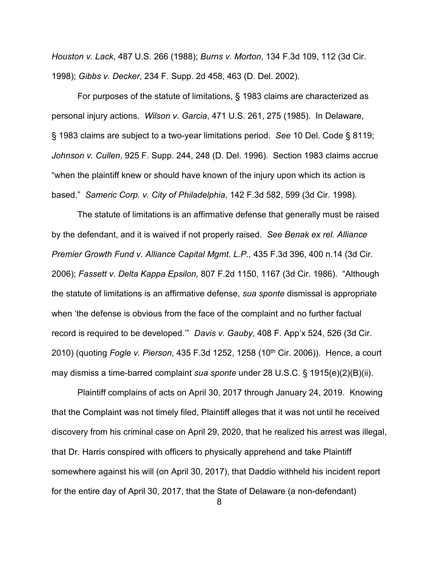*Houston v. Lack*, 487 U.S. 266 (1988); *Burns v. Morton*, 134 F.3d 109, 112 (3d Cir. 1998); *Gibbs v. Decker*, 234 F. Supp. 2d 458, 463 (D. Del. 2002).

For purposes of the statute of limitations, § 1983 claims are characterized as personal injury actions. *Wilson v. Garcia*, 471 U.S. 261, 275 (1985). In Delaware, § 1983 claims are subject to a two-year limitations period. *See* 10 Del. Code § 8119; *Johnson v. Cullen*, 925 F. Supp. 244, 248 (D. Del. 1996). Section 1983 claims accrue "when the plaintiff knew or should have known of the injury upon which its action is based." *Sameric Corp. v. City of Philadelphia*, 142 F.3d 582, 599 (3d Cir. 1998).

The statute of limitations is an affirmative defense that generally must be raised by the defendant, and it is waived if not properly raised. *See Benak ex rel. Alliance Premier Growth Fund v. Alliance Capital Mgmt. L.P.,* 435 F.3d 396, 400 n.14 (3d Cir. 2006); *Fassett v. Delta Kappa Epsilon,* 807 F.2d 1150, 1167 (3d Cir. 1986). "Although the statute of limitations is an affirmative defense, *sua sponte* dismissal is appropriate when 'the defense is obvious from the face of the complaint and no further factual record is required to be developed.'" *Davis v. Gauby*, 408 F. App'x 524, 526 (3d Cir. 2010) (quoting *Fogle v. Pierson*, 435 F.3d 1252, 1258 (10th Cir. 2006)). Hence, a court may dismiss a time-barred complaint *sua sponte* under 28 U.S.C. § 1915(e)(2)(B)(ii).

Plaintiff complains of acts on April 30, 2017 through January 24, 2019. Knowing that the Complaint was not timely filed, Plaintiff alleges that it was not until he received discovery from his criminal case on April 29, 2020, that he realized his arrest was illegal, that Dr. Harris conspired with officers to physically apprehend and take Plaintiff somewhere against his will (on April 30, 2017), that Daddio withheld his incident report for the entire day of April 30, 2017, that the State of Delaware (a non-defendant)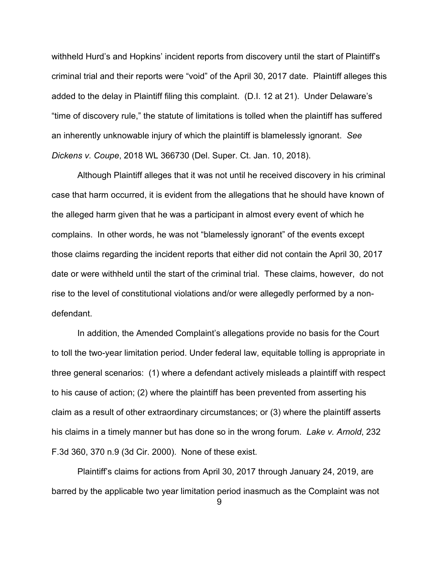withheld Hurd's and Hopkins' incident reports from discovery until the start of Plaintiff's criminal trial and their reports were "void" of the April 30, 2017 date. Plaintiff alleges this added to the delay in Plaintiff filing this complaint. (D.I. 12 at 21). Under Delaware's "time of discovery rule," the statute of limitations is tolled when the plaintiff has suffered an inherently unknowable injury of which the plaintiff is blamelessly ignorant. *See Dickens v. Coupe*, 2018 WL 366730 (Del. Super. Ct. Jan. 10, 2018).

Although Plaintiff alleges that it was not until he received discovery in his criminal case that harm occurred, it is evident from the allegations that he should have known of the alleged harm given that he was a participant in almost every event of which he complains. In other words, he was not "blamelessly ignorant" of the events except those claims regarding the incident reports that either did not contain the April 30, 2017 date or were withheld until the start of the criminal trial. These claims, however, do not rise to the level of constitutional violations and/or were allegedly performed by a nondefendant.

In addition, the Amended Complaint's allegations provide no basis for the Court to toll the two-year limitation period. Under federal law, equitable tolling is appropriate in three general scenarios: (1) where a defendant actively misleads a plaintiff with respect to his cause of action; (2) where the plaintiff has been prevented from asserting his claim as a result of other extraordinary circumstances; or (3) where the plaintiff asserts his claims in a timely manner but has done so in the wrong forum. *Lake v. Arnold*, 232 F.3d 360, 370 n.9 (3d Cir. 2000). None of these exist.

Plaintiff's claims for actions from April 30, 2017 through January 24, 2019, are barred by the applicable two year limitation period inasmuch as the Complaint was not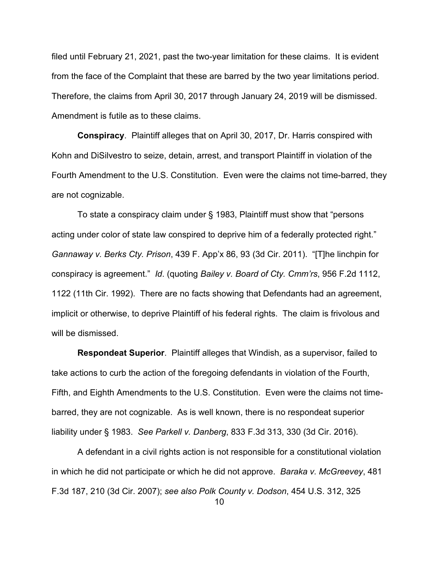filed until February 21, 2021, past the two-year limitation for these claims. It is evident from the face of the Complaint that these are barred by the two year limitations period. Therefore, the claims from April 30, 2017 through January 24, 2019 will be dismissed. Amendment is futile as to these claims.

**Conspiracy**. Plaintiff alleges that on April 30, 2017, Dr. Harris conspired with Kohn and DiSilvestro to seize, detain, arrest, and transport Plaintiff in violation of the Fourth Amendment to the U.S. Constitution. Even were the claims not time-barred, they are not cognizable.

To state a conspiracy claim under § 1983, Plaintiff must show that "persons acting under color of state law conspired to deprive him of a federally protected right." *Gannaway v. Berks Cty. Prison*, 439 F. App'x 86, 93 (3d Cir. 2011). "[T]he linchpin for conspiracy is agreement." *Id*. (quoting *Bailey v. Board of Cty. Cmm'rs*, 956 F.2d 1112, 1122 (11th Cir. 1992). There are no facts showing that Defendants had an agreement, implicit or otherwise, to deprive Plaintiff of his federal rights. The claim is frivolous and will be dismissed.

**Respondeat Superior**. Plaintiff alleges that Windish, as a supervisor, failed to take actions to curb the action of the foregoing defendants in violation of the Fourth, Fifth, and Eighth Amendments to the U.S. Constitution. Even were the claims not timebarred, they are not cognizable. As is well known, there is no respondeat superior liability under § 1983. *See Parkell v. Danberg*, 833 F.3d 313, 330 (3d Cir. 2016).

A defendant in a civil rights action is not responsible for a constitutional violation in which he did not participate or which he did not approve. *Baraka v. McGreevey*, 481 F.3d 187, 210 (3d Cir. 2007); *see also Polk County v. Dodson*, 454 U.S. 312, 325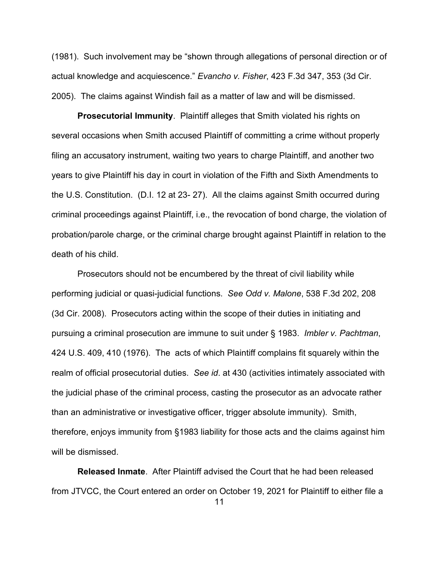(1981). Such involvement may be "shown through allegations of personal direction or of actual knowledge and acquiescence." *Evancho v. Fisher*, 423 F.3d 347, 353 (3d Cir. 2005). The claims against Windish fail as a matter of law and will be dismissed.

**Prosecutorial Immunity**. Plaintiff alleges that Smith violated his rights on several occasions when Smith accused Plaintiff of committing a crime without properly filing an accusatory instrument, waiting two years to charge Plaintiff, and another two years to give Plaintiff his day in court in violation of the Fifth and Sixth Amendments to the U.S. Constitution. (D.I. 12 at 23- 27). All the claims against Smith occurred during criminal proceedings against Plaintiff, i.e., the revocation of bond charge, the violation of probation/parole charge, or the criminal charge brought against Plaintiff in relation to the death of his child.

Prosecutors should not be encumbered by the threat of civil liability while performing judicial or quasi-judicial functions. *See Odd v. Malone*, 538 F.3d 202, 208 (3d Cir. 2008). Prosecutors acting within the scope of their duties in initiating and pursuing a criminal prosecution are immune to suit under § 1983. *Imbler v. Pachtman*, 424 U.S. 409, 410 (1976). The acts of which Plaintiff complains fit squarely within the realm of official prosecutorial duties. *See id*. at 430 (activities intimately associated with the judicial phase of the criminal process, casting the prosecutor as an advocate rather than an administrative or investigative officer, trigger absolute immunity). Smith, therefore, enjoys immunity from §1983 liability for those acts and the claims against him will be dismissed.

**Released Inmate**. After Plaintiff advised the Court that he had been released from JTVCC, the Court entered an order on October 19, 2021 for Plaintiff to either file a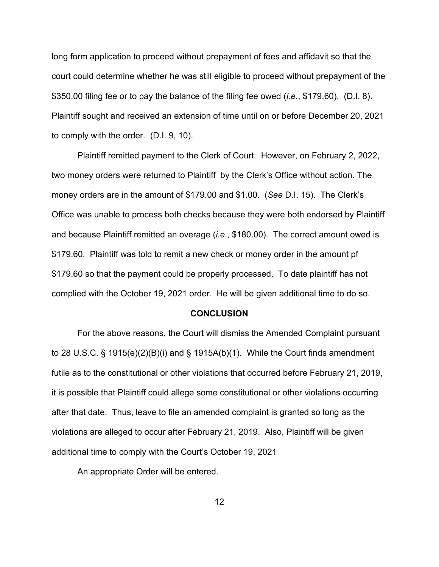long form application to proceed without prepayment of fees and affidavit so that the court could determine whether he was still eligible to proceed without prepayment of the \$350.00 filing fee or to pay the balance of the filing fee owed (*i.e*., \$179.60). (D.I. 8). Plaintiff sought and received an extension of time until on or before December 20, 2021 to comply with the order. (D.I. 9, 10).

Plaintiff remitted payment to the Clerk of Court. However, on February 2, 2022, two money orders were returned to Plaintiff by the Clerk's Office without action. The money orders are in the amount of \$179.00 and \$1.00. (*See* D.I. 15). The Clerk's Office was unable to process both checks because they were both endorsed by Plaintiff and because Plaintiff remitted an overage (*i.e*., \$180.00). The correct amount owed is \$179.60. Plaintiff was told to remit a new check or money order in the amount pf \$179.60 so that the payment could be properly processed. To date plaintiff has not complied with the October 19, 2021 order. He will be given additional time to do so.

#### **CONCLUSION**

For the above reasons, the Court will dismiss the Amended Complaint pursuant to 28 U.S.C. § 1915(e)(2)(B)(i) and § 1915A(b)(1). While the Court finds amendment futile as to the constitutional or other violations that occurred before February 21, 2019, it is possible that Plaintiff could allege some constitutional or other violations occurring after that date. Thus, leave to file an amended complaint is granted so long as the violations are alleged to occur after February 21, 2019. Also, Plaintiff will be given additional time to comply with the Court's October 19, 2021

An appropriate Order will be entered.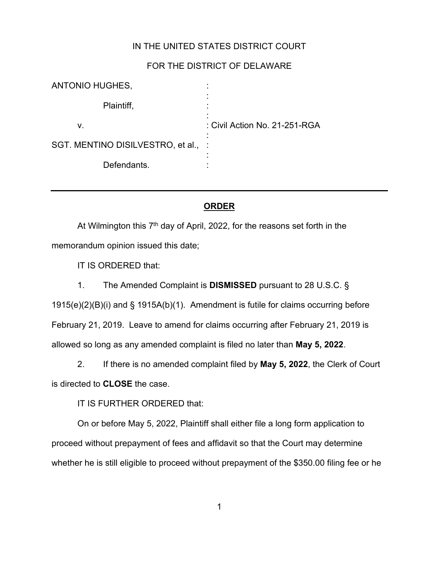## IN THE UNITED STATES DISTRICT COURT

### FOR THE DISTRICT OF DELAWARE

| ANTONIO HUGHES,                     |                               |
|-------------------------------------|-------------------------------|
| Plaintiff,                          |                               |
| v.                                  | : Civil Action No. 21-251-RGA |
| SGT. MENTINO DISILVESTRO, et al., : |                               |
| Defendants.                         |                               |

### **ORDER**

At Wilmington this  $7<sup>th</sup>$  day of April, 2022, for the reasons set forth in the memorandum opinion issued this date;

IT IS ORDERED that:

1. The Amended Complaint is **DISMISSED** pursuant to 28 U.S.C. §

1915(e)(2)(B)(i) and § 1915A(b)(1). Amendment is futile for claims occurring before February 21, 2019. Leave to amend for claims occurring after February 21, 2019 is allowed so long as any amended complaint is filed no later than **May 5, 2022**.

2. If there is no amended complaint filed by **May 5, 2022**, the Clerk of Court is directed to **CLOSE** the case.

IT IS FURTHER ORDERED that:

On or before May 5, 2022, Plaintiff shall either file a long form application to proceed without prepayment of fees and affidavit so that the Court may determine whether he is still eligible to proceed without prepayment of the \$350.00 filing fee or he